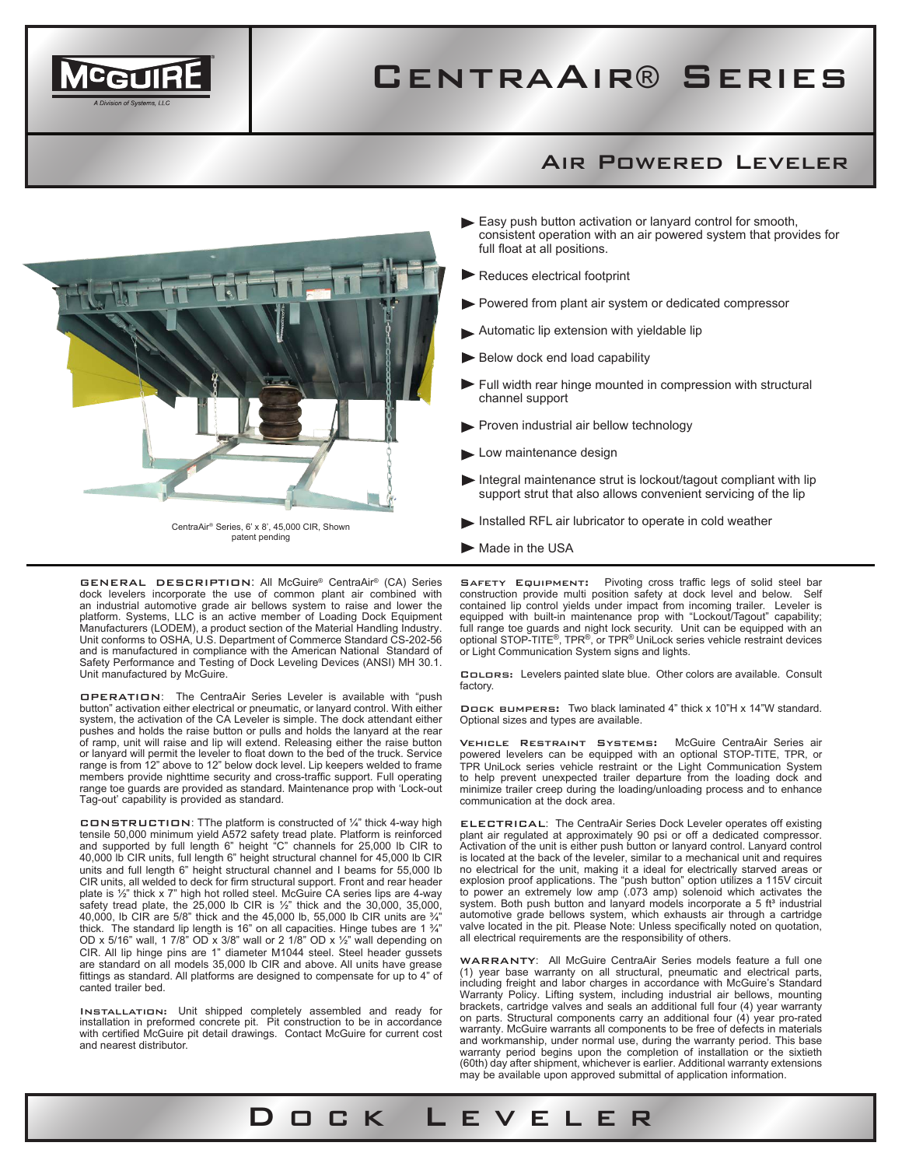

## CentraAir® Series

## Air Powered Leveler



CentraAir® Series, 6' x 8', 45,000 CIR, Shown patent pending

- Easy push button activation or lanyard control for smooth, consistent operation with an air powered system that provides for full float at all positions.
- Reduces electrical footprint
- Powered from plant air system or dedicated compressor
- Automatic lip extension with yieldable lip
- Below dock end load capability
- $\blacktriangleright$  Full width rear hinge mounted in compression with structural channel support
- Proven industrial air bellow technology
- Low maintenance design
- $\blacktriangleright$  Integral maintenance strut is lockout/tagout compliant with lip support strut that also allows convenient servicing of the lip
- Installed RFL air lubricator to operate in cold weather
- $\blacktriangleright$  Made in the USA

Dock Leveler

SAFETY EQUIPMENT: Pivoting cross traffic legs of solid steel bar construction provide multi position safety at dock level and below. Self contained lip control yields under impact from incoming trailer. Leveler is equipped with built-in maintenance prop with "Lockout/Tagout" capability; full range toe guards and night lock security. Unit can be equipped with an optional STOP-TITE®, TPR®, or TPR® UniLock series vehicle restraint devices or Light Communication System signs and lights.

Colors: Levelers painted slate blue. Other colors are available. Consult factory.

Dock bumpers: Two black laminated 4" thick x 10"H x 14"W standard. Optional sizes and types are available.

Vehicle Restraint Systems: McGuire CentraAir Series air powered levelers can be equipped with an optional STOP-TITE, TPR, or TPR UniLock series vehicle restraint or the Light Communication System to help prevent unexpected trailer departure from the loading dock and minimize trailer creep during the loading/unloading process and to enhance communication at the dock area.

ELECTRICAL: The CentraAir Series Dock Leveler operates off existing plant air regulated at approximately 90 psi or off a dedicated compressor. Activation of the unit is either push button or lanyard control. Lanyard control is located at the back of the leveler, similar to a mechanical unit and requires no electrical for the unit, making it a ideal for electrically starved areas or explosion proof applications. The "push button" option utilizes a 115V circuit to power an extremely low amp (.073 amp) solenoid which activates the system. Both push button and lanyard models incorporate a 5 ft<sup>s</sup> industrial<br>automotive grade bellows system, which exhausts air through a cartridge valve located in the pit. Please Note: Unless specifically noted on quotation, all electrical requirements are the responsibility of others.

WARRANTY: All McGuire CentraAir Series models feature a full one (1) year base warranty on all structural, pneumatic and electrical parts, including freight and labor charges in accordance with McGuire's Standard Warranty Policy. Lifting system, including industrial air bellows, mounting brackets, cartridge valves and seals an additional full four (4) year warranty on parts. Structural components carry an additional four (4) year pro-rated warranty. McGuire warrants all components to be free of defects in materials and workmanship, under normal use, during the warranty period. This base warranty period begins upon the completion of installation or the sixtieth (60th) day after shipment, whichever is earlier. Additional warranty extensions may be available upon approved submittal of application information.

GENERAL DESCRIPTION: All McGuire® CentraAir® (CA) Series dock levelers incorporate the use of common plant air combined with an industrial automotive grade air bellows system to raise and lower the platform. Systems, LLC is an active member of Loading Dock Equipment Manufacturers (LODEM), a product section of the Material Handling Industry. Unit conforms to OSHA, U.S. Department of Commerce Standard CS-202-56 and is manufactured in compliance with the American National Standard of Safety Performance and Testing of Dock Leveling Devices (ANSI) MH 30.1. Unit manufactured by McGuire.

OPERATION: The CentraAir Series Leveler is available with "push button" activation either electrical or pneumatic, or lanyard control. With either system, the activation of the CA Leveler is simple. The dock attendant either pushes and holds the raise button or pulls and holds the lanyard at the rear of ramp, unit will raise and lip will extend. Releasing either the raise button or lanyard will permit the leveler to float down to the bed of the truck. Service range is from 12" above to 12" below dock level. Lip keepers welded to frame members provide nighttime security and cross-traffic support. Full operating range toe guards are provided as standard. Maintenance prop with 'Lock-out Tag-out' capability is provided as standard.

CONSTRUCTION: TThe platform is constructed of ¼" thick 4-way high tensile 50,000 minimum yield A572 safety tread plate. Platform is reinforced<br>and supported by full length 6" height "C" channels for 25,000 lb CIR to<br>40,000 lb CIR units, full length 6" height structural channel for 45,000 units and full length 6" height structural channel and I beams for 55,000 lb CIR units, all welded to deck for firm structural support. Front and rear header plate is ½" thick x 7" high hot rolled steel. McGuire CA series lips are 4-way safety tread plate, the  $25,000$  lb CIR is  $\frac{1}{2}$ " thick and the 30,000, 35,000, 40,000, lb CIR are 5/8" thick and the 45,000 lb, 55,000 lb CIR units are ¾" thick. The standard lip length is 16" on all capacities. Hinge tubes are 1  $\frac{3}{4}$ " OD x 5/16" wall, 1 7/8" OD x 3/8" wall or 2 1/8" OD x ½" wall depending on CIR. All lip hinge pins are 1" diameter M1044 steel. Steel header gussets are standard on all models 35,000 lb CIR and above. All units have grease fittings as standard. All platforms are designed to compensate for up to 4" of canted trailer bed.

Installation: Unit shipped completely assembled and ready for installation in preformed concrete pit. Pit construction to be in accordance with certified McGuire pit detail drawings. Contact McGuire for current cost and nearest distributor.